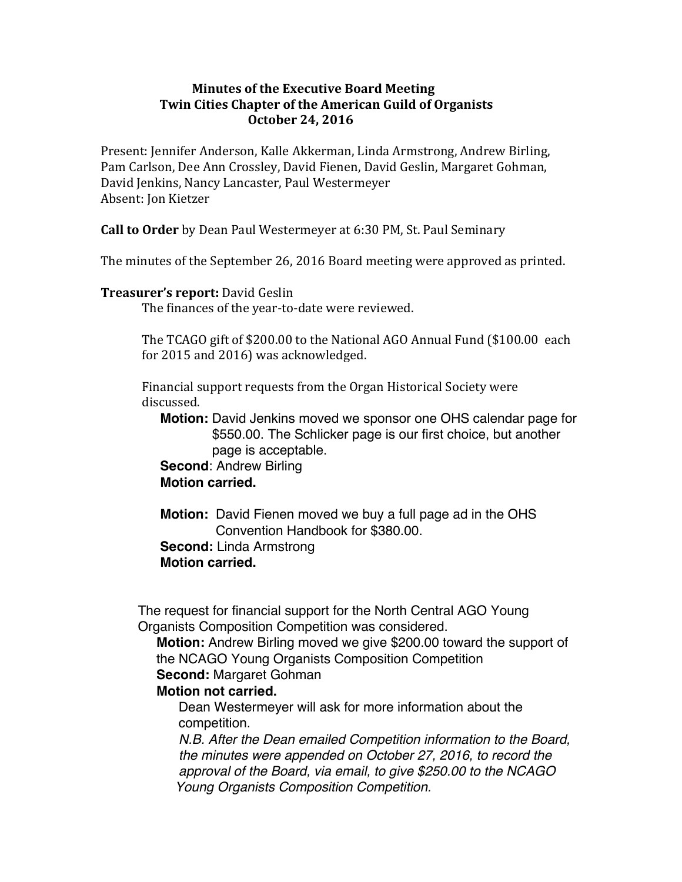## **Minutes of the Executive Board Meeting Twin Cities Chapter of the American Guild of Organists October 24, 2016**

Present: Jennifer Anderson, Kalle Akkerman, Linda Armstrong, Andrew Birling, Pam Carlson, Dee Ann Crossley, David Fienen, David Geslin, Margaret Gohman, David Jenkins, Nancy Lancaster, Paul Westermeyer Absent: Jon Kietzer

**Call to Order** by Dean Paul Westermeyer at 6:30 PM, St. Paul Seminary

The minutes of the September 26, 2016 Board meeting were approved as printed.

### **Treasurer's report:** David Geslin

The finances of the year-to-date were reviewed.

The TCAGO gift of \$200.00 to the National AGO Annual Fund (\$100.00 each for 2015 and 2016) was acknowledged.

Financial support requests from the Organ Historical Society were discussed. 

 **Motion:** David Jenkins moved we sponsor one OHS calendar page for \$550.00. The Schlicker page is our first choice, but another page is acceptable.

### **Second**: Andrew Birling  **Motion carried.**

 **Motion:** David Fienen moved we buy a full page ad in the OHS Convention Handbook for \$380.00. **Second:** Linda Armstrong  **Motion carried.**

 The request for financial support for the North Central AGO Young Organists Composition Competition was considered.

 **Motion:** Andrew Birling moved we give \$200.00 toward the support of the NCAGO Young Organists Composition Competition **Second: Margaret Gohman** 

# **Motion not carried.**

 Dean Westermeyer will ask for more information about the competition.

*N.B. After the Dean emailed Competition information to the Board, the minutes were appended on October 27, 2016, to record the approval of the Board, via email, to give \$250.00 to the NCAGO Young Organists Composition Competition.*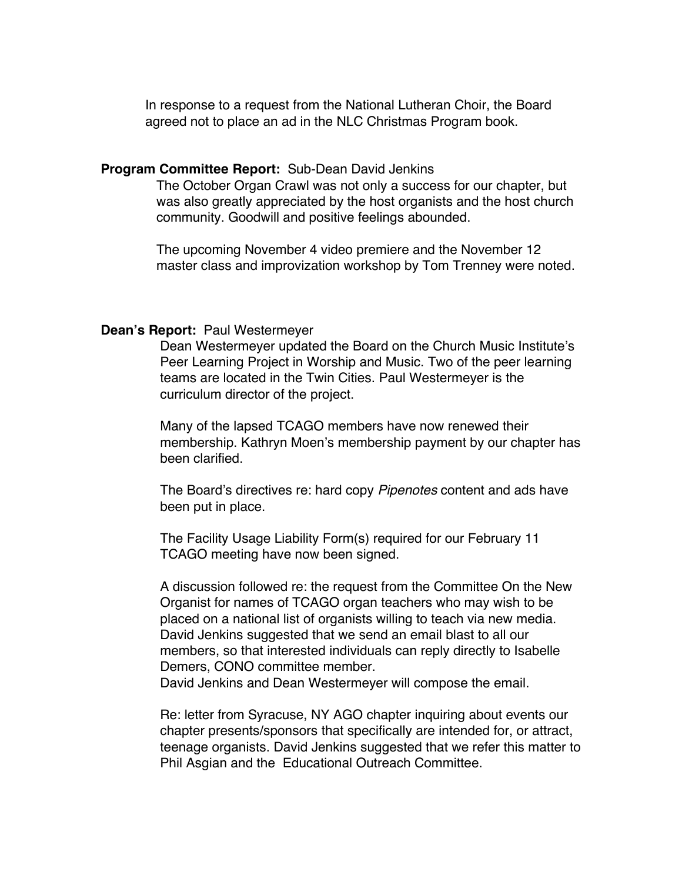In response to a request from the National Lutheran Choir, the Board agreed not to place an ad in the NLC Christmas Program book.

#### **Program Committee Report:** Sub-Dean David Jenkins

 The October Organ Crawl was not only a success for our chapter, but was also greatly appreciated by the host organists and the host church community. Goodwill and positive feelings abounded.

 The upcoming November 4 video premiere and the November 12 master class and improvization workshop by Tom Trenney were noted.

### **Dean's Report:** Paul Westermeyer

 Dean Westermeyer updated the Board on the Church Music Institute's Peer Learning Project in Worship and Music. Two of the peer learning teams are located in the Twin Cities. Paul Westermeyer is the curriculum director of the project.

 Many of the lapsed TCAGO members have now renewed their membership. Kathryn Moen's membership payment by our chapter has been clarified.

 The Board's directives re: hard copy *Pipenotes* content and ads have been put in place.

 The Facility Usage Liability Form(s) required for our February 11 TCAGO meeting have now been signed.

 A discussion followed re: the request from the Committee On the New Organist for names of TCAGO organ teachers who may wish to be placed on a national list of organists willing to teach via new media. David Jenkins suggested that we send an email blast to all our members, so that interested individuals can reply directly to Isabelle Demers, CONO committee member.

David Jenkins and Dean Westermeyer will compose the email.

 Re: letter from Syracuse, NY AGO chapter inquiring about events our chapter presents/sponsors that specifically are intended for, or attract, teenage organists. David Jenkins suggested that we refer this matter to Phil Asgian and the Educational Outreach Committee.